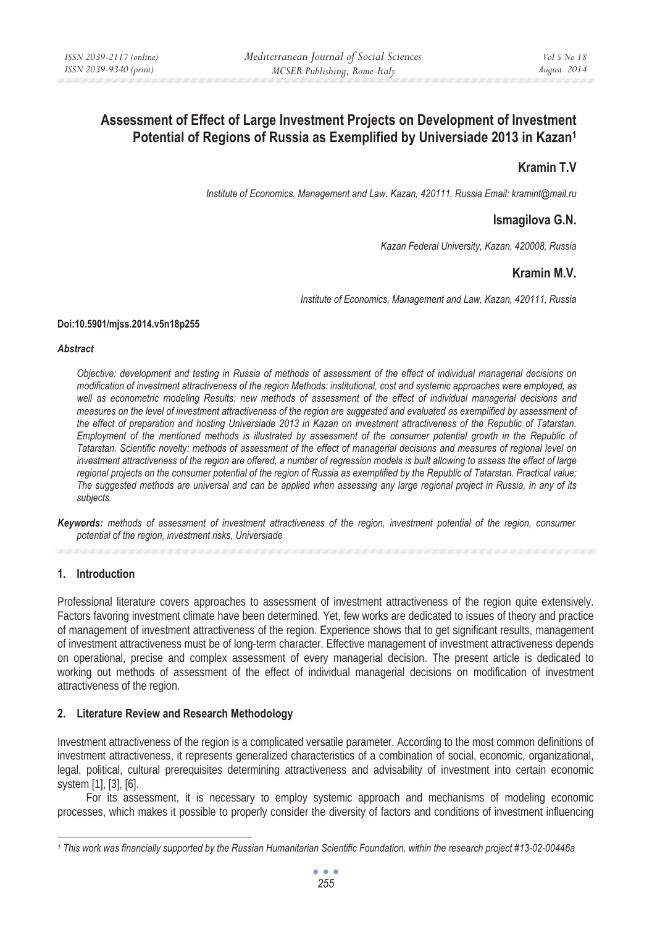# **Assessment of Effect of Large Investment Projects on Development of Investment Potential of Regions of Russia as Exemplified by Universiade 2013 in Kazan1**

# **Kramin T.V**

*Institute of Economics, Management and Law, Kazan, 420111, Russia Email: kramint@mail.ru* 

## **Ismagilova G.N.**

*Kazan Federal University, Kazan, 420008, Russia* 

## **Kramin M.V.**

*Institute of Economics, Management and Law, Kazan, 420111, Russia* 

### **Doi:10.5901/mjss.2014.v5n18p255**

#### *Abstract*

*Objective: development and testing in Russia of methods of assessment of the effect of individual managerial decisions on modification of investment attractiveness of the region Methods: institutional, cost and systemic approaches were employed, as well as econometric modeling Results: new methods of assessment of the effect of individual managerial decisions and measures on the level of investment attractiveness of the region are suggested and evaluated as exemplified by assessment of the effect of preparation and hosting Universiade 2013 in Kazan on investment attractiveness of the Republic of Tatarstan. Employment of the mentioned methods is illustrated by assessment of the consumer potential growth in the Republic of Tatarstan. Scientific novelty: methods of assessment of the effect of managerial decisions and measures of regional level on investment attractiveness of the region are offered, a number of regression models is built allowing to assess the effect of large regional projects on the consumer potential of the region of Russia as exemplified by the Republic of Tatarstan. Practical value: The suggested methods are universal and can be applied when assessing any large regional project in Russia, in any of its subjects.* 

*Keywords: methods of assessment of investment attractiveness of the region, investment potential of the region, consumer potential of the region, investment risks, Universiade* 

## **1. Introduction**

Professional literature covers approaches to assessment of investment attractiveness of the region quite extensively. Factors favoring investment climate have been determined. Yet, few works are dedicated to issues of theory and practice of management of investment attractiveness of the region. Experience shows that to get significant results, management of investment attractiveness must be of long-term character. Effective management of investment attractiveness depends on operational, precise and complex assessment of every managerial decision. The present article is dedicated to working out methods of assessment of the effect of individual managerial decisions on modification of investment attractiveness of the region.

## **2. Literature Review and Research Methodology**

Investment attractiveness of the region is a complicated versatile parameter. According to the most common definitions of investment attractiveness, it represents generalized characteristics of a combination of social, economic, organizational, legal, political, cultural prerequisites determining attractiveness and advisability of investment into certain economic system [1], [3], [6].

For its assessment, it is necessary to employ systemic approach and mechanisms of modeling economic processes, which makes it possible to properly consider the diversity of factors and conditions of investment influencing

*<sup>1</sup> This work was financially supported by the Russian Humanitarian Scientific Foundation, within the research project #13-02-00446a*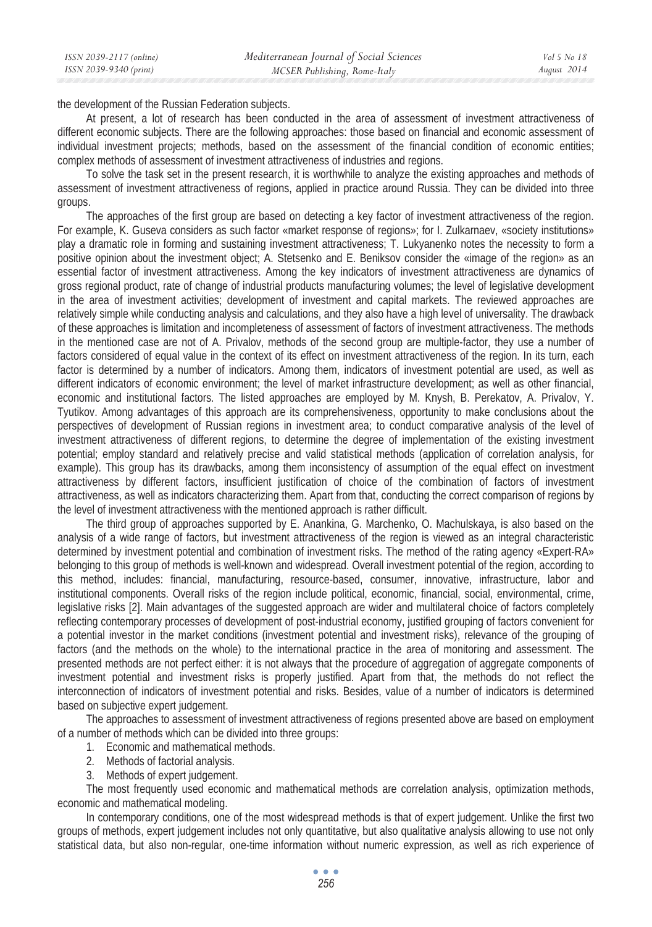| ISSN 2039-2117 (online) | Mediterranean Journal of Social Sciences | Vol 5 No 18 |
|-------------------------|------------------------------------------|-------------|
| ISSN 2039-9340 (print)  | MCSER Publishing, Rome-Italy             | August 2014 |
|                         |                                          |             |

the development of the Russian Federation subjects.

At present, a lot of research has been conducted in the area of assessment of investment attractiveness of different economic subjects. There are the following approaches: those based on financial and economic assessment of individual investment projects; methods, based on the assessment of the financial condition of economic entities; complex methods of assessment of investment attractiveness of industries and regions.

To solve the task set in the present research, it is worthwhile to analyze the existing approaches and methods of assessment of investment attractiveness of regions, applied in practice around Russia. They can be divided into three groups.

The approaches of the first group are based on detecting a key factor of investment attractiveness of the region. For example, K. Guseva considers as such factor «market response of regions»; for I. Zulkarnaev, «society institutions» play a dramatic role in forming and sustaining investment attractiveness; T. Lukyanenko notes the necessity to form a positive opinion about the investment object; A. Stetsenko and E. Beniksov consider the «image of the region» as an essential factor of investment attractiveness. Among the key indicators of investment attractiveness are dynamics of gross regional product, rate of change of industrial products manufacturing volumes; the level of legislative development in the area of investment activities; development of investment and capital markets. The reviewed approaches are relatively simple while conducting analysis and calculations, and they also have a high level of universality. The drawback of these approaches is limitation and incompleteness of assessment of factors of investment attractiveness. The methods in the mentioned case are not of A. Privalov, methods of the second group are multiple-factor, they use a number of factors considered of equal value in the context of its effect on investment attractiveness of the region. In its turn, each factor is determined by a number of indicators. Among them, indicators of investment potential are used, as well as different indicators of economic environment; the level of market infrastructure development; as well as other financial, economic and institutional factors. The listed approaches are employed by M. Knysh, B. Perekatov, A. Privalov, Y. Tyutikov. Among advantages of this approach are its comprehensiveness, opportunity to make conclusions about the perspectives of development of Russian regions in investment area; to conduct comparative analysis of the level of investment attractiveness of different regions, to determine the degree of implementation of the existing investment potential; employ standard and relatively precise and valid statistical methods (application of correlation analysis, for example). This group has its drawbacks, among them inconsistency of assumption of the equal effect on investment attractiveness by different factors, insufficient justification of choice of the combination of factors of investment attractiveness, as well as indicators characterizing them. Apart from that, conducting the correct comparison of regions by the level of investment attractiveness with the mentioned approach is rather difficult.

The third group of approaches supported by E. Anankina, G. Marchenko, O. Machulskaya, is also based on the analysis of a wide range of factors, but investment attractiveness of the region is viewed as an integral characteristic determined by investment potential and combination of investment risks. The method of the rating agency «Expert-RA» belonging to this group of methods is well-known and widespread. Overall investment potential of the region, according to this method, includes: financial, manufacturing, resource-based, consumer, innovative, infrastructure, labor and institutional components. Overall risks of the region include political, economic, financial, social, environmental, crime, legislative risks [2]. Main advantages of the suggested approach are wider and multilateral choice of factors completely reflecting contemporary processes of development of post-industrial economy, justified grouping of factors convenient for a potential investor in the market conditions (investment potential and investment risks), relevance of the grouping of factors (and the methods on the whole) to the international practice in the area of monitoring and assessment. The presented methods are not perfect either: it is not always that the procedure of aggregation of aggregate components of investment potential and investment risks is properly justified. Apart from that, the methods do not reflect the interconnection of indicators of investment potential and risks. Besides, value of a number of indicators is determined based on subjective expert judgement.

The approaches to assessment of investment attractiveness of regions presented above are based on employment of a number of methods which can be divided into three groups:

1. Economic and mathematical methods.

- 2. Methods of factorial analysis.
- 3. Methods of expert judgement.

The most frequently used economic and mathematical methods are correlation analysis, optimization methods, economic and mathematical modeling.

In contemporary conditions, one of the most widespread methods is that of expert judgement. Unlike the first two groups of methods, expert judgement includes not only quantitative, but also qualitative analysis allowing to use not only statistical data, but also non-regular, one-time information without numeric expression, as well as rich experience of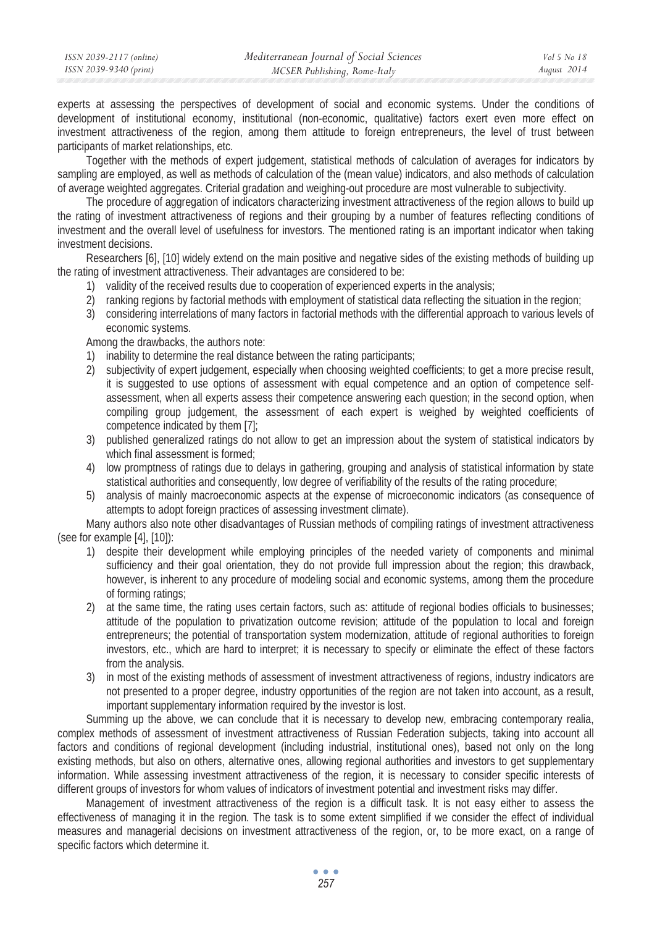| ISSN 2039-2117 (online) | Mediterranean Journal of Social Sciences | Vol 5 No 18 |
|-------------------------|------------------------------------------|-------------|
| ISSN 2039-9340 (print)  | MCSER Publishing, Rome-Italy             | August 2014 |
|                         |                                          |             |

experts at assessing the perspectives of development of social and economic systems. Under the conditions of development of institutional economy, institutional (non-economic, qualitative) factors exert even more effect on investment attractiveness of the region, among them attitude to foreign entrepreneurs, the level of trust between participants of market relationships, etc.

Together with the methods of expert judgement, statistical methods of calculation of averages for indicators by sampling are employed, as well as methods of calculation of the (mean value) indicators, and also methods of calculation of average weighted aggregates. Criterial gradation and weighing-out procedure are most vulnerable to subjectivity.

The procedure of aggregation of indicators characterizing investment attractiveness of the region allows to build up the rating of investment attractiveness of regions and their grouping by a number of features reflecting conditions of investment and the overall level of usefulness for investors. The mentioned rating is an important indicator when taking investment decisions.

Researchers [6], [10] widely extend on the main positive and negative sides of the existing methods of building up the rating of investment attractiveness. Their advantages are considered to be:

- 1) validity of the received results due to cooperation of experienced experts in the analysis;
- 2) ranking regions by factorial methods with employment of statistical data reflecting the situation in the region;
- 3) considering interrelations of many factors in factorial methods with the differential approach to various levels of economic systems.

Among the drawbacks, the authors note:

- 1) inability to determine the real distance between the rating participants;
- 2) subjectivity of expert judgement, especially when choosing weighted coefficients; to get a more precise result, it is suggested to use options of assessment with equal competence and an option of competence selfassessment, when all experts assess their competence answering each question; in the second option, when compiling group judgement, the assessment of each expert is weighed by weighted coefficients of competence indicated by them [7];
- 3) published generalized ratings do not allow to get an impression about the system of statistical indicators by which final assessment is formed;
- 4) low promptness of ratings due to delays in gathering, grouping and analysis of statistical information by state statistical authorities and consequently, low degree of verifiability of the results of the rating procedure;
- 5) analysis of mainly macroeconomic aspects at the expense of microeconomic indicators (as consequence of attempts to adopt foreign practices of assessing investment climate).

Many authors also note other disadvantages of Russian methods of compiling ratings of investment attractiveness (see for example [4], [10]):

- 1) despite their development while employing principles of the needed variety of components and minimal sufficiency and their goal orientation, they do not provide full impression about the region; this drawback, however, is inherent to any procedure of modeling social and economic systems, among them the procedure of forming ratings;
- 2) at the same time, the rating uses certain factors, such as: attitude of regional bodies officials to businesses; attitude of the population to privatization outcome revision; attitude of the population to local and foreign entrepreneurs; the potential of transportation system modernization, attitude of regional authorities to foreign investors, etc., which are hard to interpret; it is necessary to specify or eliminate the effect of these factors from the analysis.
- 3) in most of the existing methods of assessment of investment attractiveness of regions, industry indicators are not presented to a proper degree, industry opportunities of the region are not taken into account, as a result, important supplementary information required by the investor is lost.

Summing up the above, we can conclude that it is necessary to develop new, embracing contemporary realia, complex methods of assessment of investment attractiveness of Russian Federation subjects, taking into account all factors and conditions of regional development (including industrial, institutional ones), based not only on the long existing methods, but also on others, alternative ones, allowing regional authorities and investors to get supplementary information. While assessing investment attractiveness of the region, it is necessary to consider specific interests of different groups of investors for whom values of indicators of investment potential and investment risks may differ.

Management of investment attractiveness of the region is a difficult task. It is not easy either to assess the effectiveness of managing it in the region. The task is to some extent simplified if we consider the effect of individual measures and managerial decisions on investment attractiveness of the region, or, to be more exact, on a range of specific factors which determine it.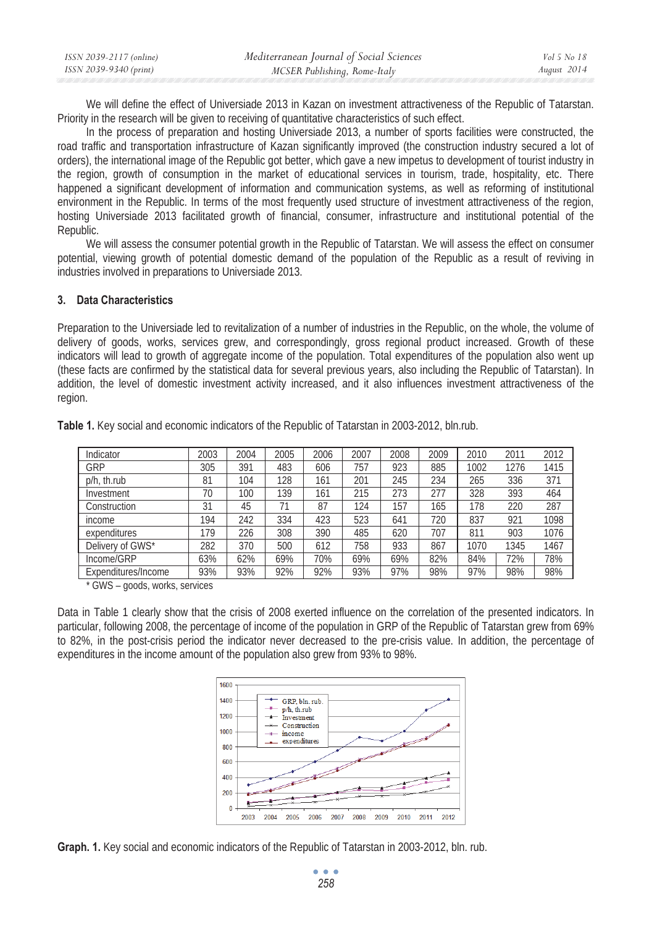| ISSN 2039-2117 (online) | Mediterranean Journal of Social Sciences | Vol 5 No 18 |
|-------------------------|------------------------------------------|-------------|
| ISSN 2039-9340 (print)  | MCSER Publishing, Rome-Italy             | August 2014 |

We will define the effect of Universiade 2013 in Kazan on investment attractiveness of the Republic of Tatarstan. Priority in the research will be given to receiving of quantitative characteristics of such effect.

In the process of preparation and hosting Universiade 2013, a number of sports facilities were constructed, the road traffic and transportation infrastructure of Kazan significantly improved (the construction industry secured a lot of orders), the international image of the Republic got better, which gave a new impetus to development of tourist industry in the region, growth of consumption in the market of educational services in tourism, trade, hospitality, etc. There happened a significant development of information and communication systems, as well as reforming of institutional environment in the Republic. In terms of the most frequently used structure of investment attractiveness of the region, hosting Universiade 2013 facilitated growth of financial, consumer, infrastructure and institutional potential of the Republic.

We will assess the consumer potential growth in the Republic of Tatarstan. We will assess the effect on consumer potential, viewing growth of potential domestic demand of the population of the Republic as a result of reviving in industries involved in preparations to Universiade 2013.

### **3. Data Characteristics**

Preparation to the Universiade led to revitalization of a number of industries in the Republic, on the whole, the volume of delivery of goods, works, services grew, and correspondingly, gross regional product increased. Growth of these indicators will lead to growth of aggregate income of the population. Total expenditures of the population also went up (these facts are confirmed by the statistical data for several previous years, also including the Republic of Tatarstan). In addition, the level of domestic investment activity increased, and it also influences investment attractiveness of the region.

| Indicator           | 2003 | 2004 | 2005 | 2006 | 2007 | 2008 | 2009 | 2010 | 2011 | 2012 |
|---------------------|------|------|------|------|------|------|------|------|------|------|
| GRP                 | 305  | 391  | 483  | 606  | 757  | 923  | 885  | 1002 | 1276 | 1415 |
| p/h, th.rub         | 81   | 104  | 128  | 161  | 201  | 245  | 234  | 265  | 336  | 371  |
| Investment          | 70   | 100  | 139  | 161  | 215  | 273  | 277  | 328  | 393  | 464  |
| Construction        | 31   | 45   |      | 87   | 124  | 157  | 165  | 178  | 220  | 287  |
| income              | 194  | 242  | 334  | 423  | 523  | 641  | 720  | 837  | 921  | 1098 |
| expenditures        | 179  | 226  | 308  | 390  | 485  | 620  | 707  | 811  | 903  | 1076 |
| Delivery of GWS*    | 282  | 370  | 500  | 612  | 758  | 933  | 867  | 1070 | 1345 | 1467 |
| Income/GRP          | 63%  | 62%  | 69%  | 70%  | 69%  | 69%  | 82%  | 84%  | 72%  | 78%  |
| Expenditures/Income | 93%  | 93%  | 92%  | 92%  | 93%  | 97%  | 98%  | 97%  | 98%  | 98%  |

**Table 1.** Key social and economic indicators of the Republic of Tatarstan in 2003-2012, bln.rub.

\* GWS – goods, works, services

Data in Table 1 clearly show that the crisis of 2008 exerted influence on the correlation of the presented indicators. In particular, following 2008, the percentage of income of the population in GRP of the Republic of Tatarstan grew from 69% to 82%, in the post-crisis period the indicator never decreased to the pre-crisis value. In addition, the percentage of expenditures in the income amount of the population also grew from 93% to 98%.



**Graph. 1.** Key social and economic indicators of the Republic of Tatarstan in 2003-2012, bln. rub.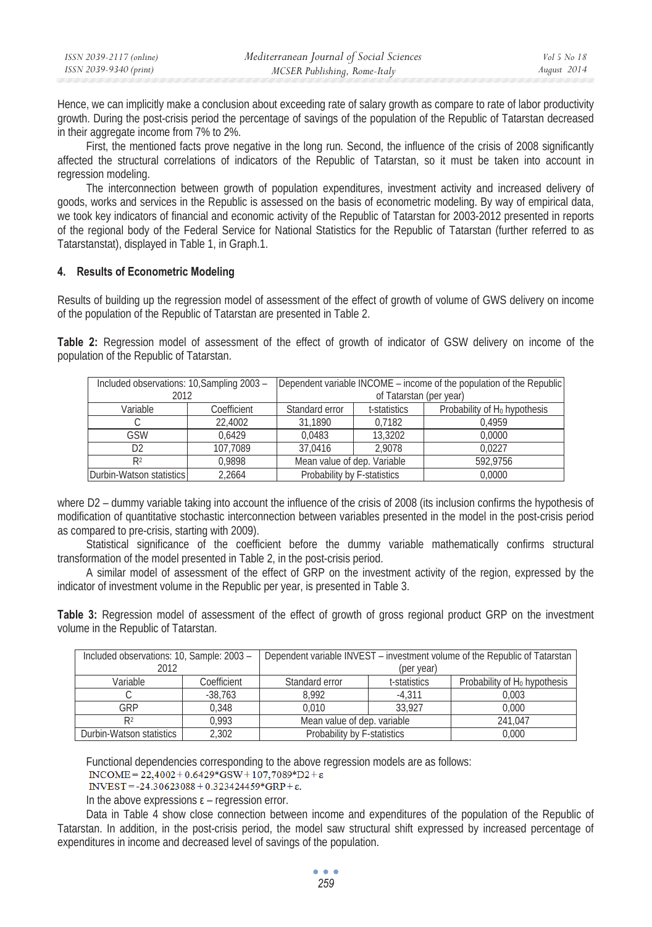| ISSN 2039-2117 (online) | Mediterranean Journal of Social Sciences | Vol 5 No 18 |
|-------------------------|------------------------------------------|-------------|
| ISSN 2039-9340 (print)  | MCSER Publishing, Rome-Italy             | August 2014 |

Hence, we can implicitly make a conclusion about exceeding rate of salary growth as compare to rate of labor productivity growth. During the post-crisis period the percentage of savings of the population of the Republic of Tatarstan decreased in their aggregate income from 7% to 2%.

First, the mentioned facts prove negative in the long run. Second, the influence of the crisis of 2008 significantly affected the structural correlations of indicators of the Republic of Tatarstan, so it must be taken into account in regression modeling.

The interconnection between growth of population expenditures, investment activity and increased delivery of goods, works and services in the Republic is assessed on the basis of econometric modeling. By way of empirical data, we took key indicators of financial and economic activity of the Republic of Tatarstan for 2003-2012 presented in reports of the regional body of the Federal Service for National Statistics for the Republic of Tatarstan (further referred to as Tatarstanstat), displayed in Table 1, in Graph.1.

### **4. Results of Econometric Modeling**

Results of building up the regression model of assessment of the effect of growth of volume of GWS delivery on income of the population of the Republic of Tatarstan are presented in Table 2.

**Table 2:** Regression model of assessment of the effect of growth of indicator of GSW delivery on income of the population of the Republic of Tatarstan.

| Included observations: 10, Sampling 2003 - |             | Dependent variable INCOME – income of the population of the Republic |                         |                                 |  |  |
|--------------------------------------------|-------------|----------------------------------------------------------------------|-------------------------|---------------------------------|--|--|
| 2012                                       |             |                                                                      | of Tatarstan (per year) |                                 |  |  |
| Variable                                   | Coefficient | Standard error                                                       | t-statistics            | Probability of $H_0$ hypothesis |  |  |
|                                            | 22,4002     | 31.1890                                                              | 0.7182                  | 0.4959                          |  |  |
| GSW                                        | 0.6429      | 0.0483                                                               | 13,3202                 | 0.0000                          |  |  |
| D2                                         | 107.7089    | 37.0416                                                              | 2.9078                  | 0.0227                          |  |  |
| R <sup>2</sup>                             | 0.9898      | Mean value of dep. Variable                                          |                         | 592.9756                        |  |  |
| Durbin-Watson statistics                   | 2.2664      | Probability by F-statistics                                          |                         | 0.0000                          |  |  |

where D2 – dummy variable taking into account the influence of the crisis of 2008 (its inclusion confirms the hypothesis of modification of quantitative stochastic interconnection between variables presented in the model in the post-crisis period as compared to pre-crisis, starting with 2009).

Statistical significance of the coefficient before the dummy variable mathematically confirms structural transformation of the model presented in Table 2, in the post-crisis period.

A similar model of assessment of the effect of GRP on the investment activity of the region, expressed by the indicator of investment volume in the Republic per year, is presented in Table 3.

**Table 3:** Regression model of assessment of the effect of growth of gross regional product GRP on the investment volume in the Republic of Tatarstan.

| Included observations: 10, Sample: 2003 - |             | Dependent variable INVEST – investment volume of the Republic of Tatarstan |                                 |       |  |
|-------------------------------------------|-------------|----------------------------------------------------------------------------|---------------------------------|-------|--|
| 2012                                      |             | (per year)                                                                 |                                 |       |  |
| Variable                                  | Coefficient | Standard error                                                             | Probability of $H_0$ hypothesis |       |  |
|                                           | $-38.763$   | 8.992                                                                      | $-4.311$                        | 0.003 |  |
| GRP                                       | 0.348       | 33.927<br>0.010                                                            |                                 | 0.000 |  |
| R <sub>2</sub>                            | 0.993       | Mean value of dep. variable                                                | 241.047                         |       |  |
| Durbin-Watson statistics                  | 2.302       | Probability by F-statistics                                                | 0.000                           |       |  |

Functional dependencies corresponding to the above regression models are as follows:<br>  $NCOME = 22,4002 + 0.6429*GSW + 107,7089*D2 + \epsilon$ 

INVEST = -24.30623088 + 0.323424459\*GRP + ε.

In the above expressions  $\varepsilon$  – regression error.

Data in Table 4 show close connection between income and expenditures of the population of the Republic of Tatarstan. In addition, in the post-crisis period, the model saw structural shift expressed by increased percentage of expenditures in income and decreased level of savings of the population.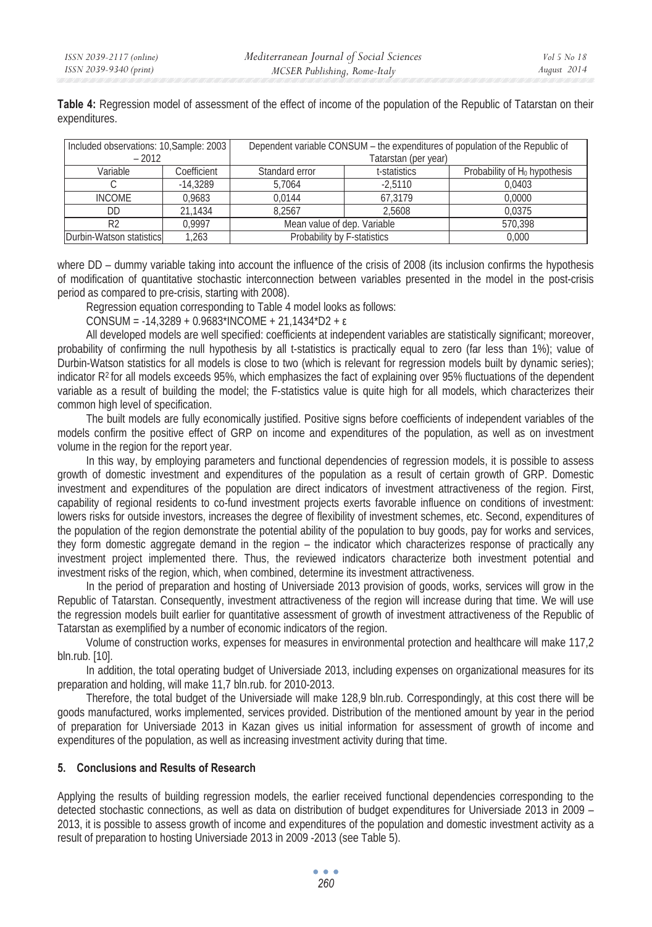**Table 4:** Regression model of assessment of the effect of income of the population of the Republic of Tatarstan on their expenditures.

| Included observations: 10, Sample: 2003<br>$-2012$ |             |                             | Dependent variable CONSUM – the expenditures of population of the Republic of<br>Tatarstan (per year) |        |  |  |
|----------------------------------------------------|-------------|-----------------------------|-------------------------------------------------------------------------------------------------------|--------|--|--|
| Variable                                           | Coefficient | Standard error              | Probability of H <sub>0</sub> hypothesis                                                              |        |  |  |
|                                                    | $-14.3289$  | 5.7064                      | $-2.5110$                                                                                             | 0.0403 |  |  |
| <b>INCOME</b>                                      | 0.9683      | 0.0144                      | 67.3179                                                                                               | 0.0000 |  |  |
| DD.                                                | 21.1434     | 8.2567<br>2.5608            |                                                                                                       | 0.0375 |  |  |
| R <sub>2</sub>                                     | 0.9997      | Mean value of dep. Variable | 570.398                                                                                               |        |  |  |
| Durbin-Watson statistics                           | 1.263       | Probability by F-statistics | 0.000                                                                                                 |        |  |  |

where DD – dummy variable taking into account the influence of the crisis of 2008 (its inclusion confirms the hypothesis of modification of quantitative stochastic interconnection between variables presented in the model in the post-crisis period as compared to pre-crisis, starting with 2008).

Regression equation corresponding to Table 4 model looks as follows:

 $CONSUM = -14,3289 + 0.9683*INCOME + 21,1434*D2 + \epsilon$ 

All developed models are well specified: coefficients at independent variables are statistically significant; moreover, probability of confirming the null hypothesis by all t-statistics is practically equal to zero (far less than 1%); value of Durbin-Watson statistics for all models is close to two (which is relevant for regression models built by dynamic series); indicator  $R<sup>2</sup>$  for all models exceeds 95%, which emphasizes the fact of explaining over 95% fluctuations of the dependent variable as a result of building the model; the F-statistics value is quite high for all models, which characterizes their common high level of specification.

The built models are fully economically justified. Positive signs before coefficients of independent variables of the models confirm the positive effect of GRP on income and expenditures of the population, as well as on investment volume in the region for the report year.

In this way, by employing parameters and functional dependencies of regression models, it is possible to assess growth of domestic investment and expenditures of the population as a result of certain growth of GRP. Domestic investment and expenditures of the population are direct indicators of investment attractiveness of the region. First, capability of regional residents to co-fund investment projects exerts favorable influence on conditions of investment: lowers risks for outside investors, increases the degree of flexibility of investment schemes, etc. Second, expenditures of the population of the region demonstrate the potential ability of the population to buy goods, pay for works and services, they form domestic aggregate demand in the region – the indicator which characterizes response of practically any investment project implemented there. Thus, the reviewed indicators characterize both investment potential and investment risks of the region, which, when combined, determine its investment attractiveness.

In the period of preparation and hosting of Universiade 2013 provision of goods, works, services will grow in the Republic of Tatarstan. Consequently, investment attractiveness of the region will increase during that time. We will use the regression models built earlier for quantitative assessment of growth of investment attractiveness of the Republic of Tatarstan as exemplified by a number of economic indicators of the region.

Volume of construction works, expenses for measures in environmental protection and healthcare will make 117,2 bln.rub. [10].

In addition, the total operating budget of Universiade 2013, including expenses on organizational measures for its preparation and holding, will make 11,7 bln.rub. for 2010-2013.

Therefore, the total budget of the Universiade will make 128,9 bln.rub. Correspondingly, at this cost there will be goods manufactured, works implemented, services provided. Distribution of the mentioned amount by year in the period of preparation for Universiade 2013 in Kazan gives us initial information for assessment of growth of income and expenditures of the population, as well as increasing investment activity during that time.

### **5. Conclusions and Results of Research**

Applying the results of building regression models, the earlier received functional dependencies corresponding to the detected stochastic connections, as well as data on distribution of budget expenditures for Universiade 2013 in 2009 – 2013, it is possible to assess growth of income and expenditures of the population and domestic investment activity as a result of preparation to hosting Universiade 2013 in 2009 -2013 (see Table 5).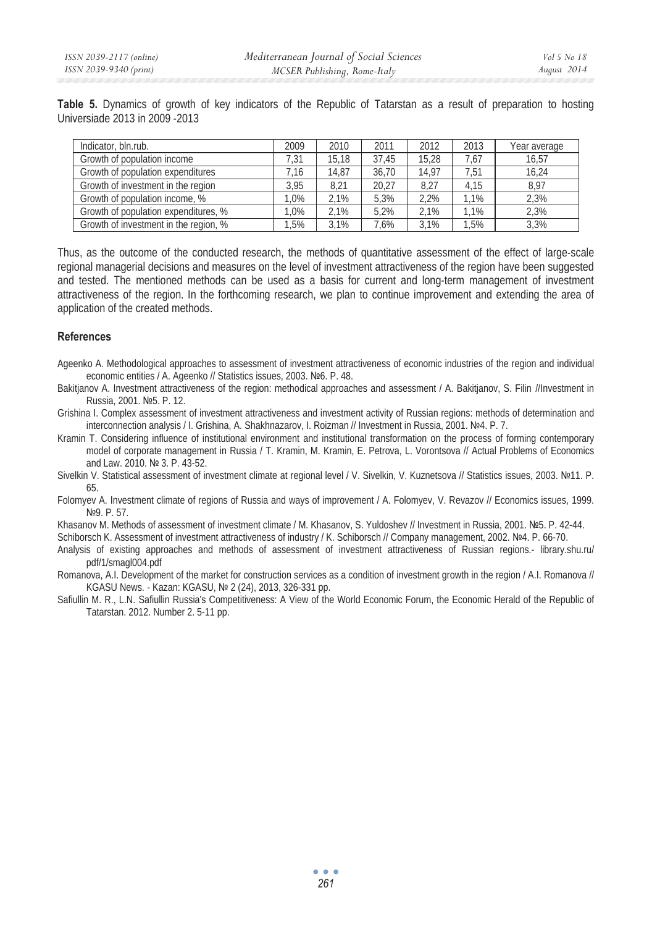**Table 5.** Dynamics of growth of key indicators of the Republic of Tatarstan as a result of preparation to hosting Universiade 2013 in 2009 -2013

| Indicator, bln.rub.                   | 2009           | 2010  | 2011  | 2012  | 2013 | Year average |
|---------------------------------------|----------------|-------|-------|-------|------|--------------|
| Growth of population income           | 7.31           | 15.18 | 37.45 | 15.28 | 7.67 | 16.57        |
| Growth of population expenditures     | $^{\prime}.16$ | 14.87 | 36.70 | 14.97 | 7.51 | 16.24        |
| Growth of investment in the region    | 3.95           | 8.21  | 20.27 | 8.27  | 4.15 | 8.97         |
| Growth of population income, %        | .0%            | 2.1%  | 5.3%  | 2.2%  | 1.1% | 2,3%         |
| Growth of population expenditures, %  | $.0\%$         | 2.1%  | 5.2%  | 2.1%  | 1.1% | 2.3%         |
| Growth of investment in the region, % | .5%            | 3.1%  | 7.6%  | 3.1%  | 1.5% | 3.3%         |

Thus, as the outcome of the conducted research, the methods of quantitative assessment of the effect of large-scale regional managerial decisions and measures on the level of investment attractiveness of the region have been suggested and tested. The mentioned methods can be used as a basis for current and long-term management of investment attractiveness of the region. In the forthcoming research, we plan to continue improvement and extending the area of application of the created methods.

### **References**

Ageenko A. Methodological approaches to assessment of investment attractiveness of economic industries of the region and individual economic entities / A. Ageenko // Statistics issues, 2003. №6. P. 48.

Bakitjanov A. Investment attractiveness of the region: methodical approaches and assessment / A. Bakitjanov, S. Filin //Investment in Russia, 2001. No<sub>5</sub>. P. 12.

Grishina I. Complex assessment of investment attractiveness and investment activity of Russian regions: methods of determination and interconnection analysis / I. Grishina, A. Shakhnazarov, I. Roizman // Investment in Russia, 2001. Nº4. P. 7.

Kramin T. Considering influence of institutional environment and institutional transformation on the process of forming contemporary model of corporate management in Russia / T. Kramin, M. Kramin, E. Petrova, L. Vorontsova // Actual Problems of Economics and Law. 2010. № 3. P. 43-52.

Sivelkin V. Statistical assessment of investment climate at regional level / V. Sivelkin, V. Kuznetsova // Statistics issues, 2003. №11. P. 65.

Folomyev A. Investment climate of regions of Russia and ways of improvement / A. Folomyev, V. Revazov // Economics issues, 1999. N<sup>o</sup><sub>9</sub>. P. 57.

Khasanov M. Methods of assessment of investment climate / M. Khasanov, S. Yuldoshev // Investment in Russia, 2001. №5. P. 42-44.

Schiborsch K. Assessment of investment attractiveness of industry / K. Schiborsch // Company management, 2002. Nº4. P. 66-70. Analysis of existing approaches and methods of assessment of investment attractiveness of Russian regions.- library.shu.ru/

pdf/1/smagl004.pdf Romanova, A.I. Development of the market for construction services as a condition of investment growth in the region / A.I. Romanova // KGASU News. - Kazan: KGASU, № 2 (24), 2013, 326-331 pp.

Safiullin M. R., L.N. Safiullin Russia's Competitiveness: A View of the World Economic Forum, the Economic Herald of the Republic of Tatarstan. 2012. Number 2. 5-11 pp.